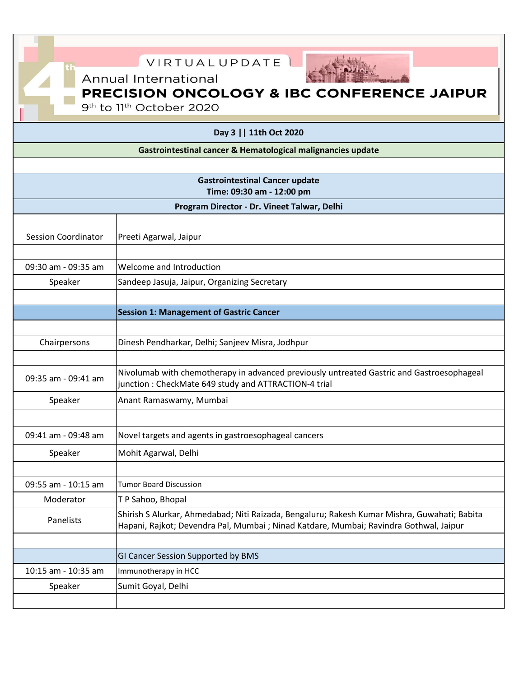| VIRTUALUPDATE                                                      |                                                                                                                                                                                       |  |
|--------------------------------------------------------------------|---------------------------------------------------------------------------------------------------------------------------------------------------------------------------------------|--|
| Annual International                                               |                                                                                                                                                                                       |  |
| <b>PRECISION ONCOLOGY &amp; IBC CONFERENCE JAIPUR</b>              |                                                                                                                                                                                       |  |
| 9 <sup>th</sup> to 11 <sup>th</sup> October 2020                   |                                                                                                                                                                                       |  |
| Day 3     11th Oct 2020                                            |                                                                                                                                                                                       |  |
| Gastrointestinal cancer & Hematological malignancies update        |                                                                                                                                                                                       |  |
|                                                                    |                                                                                                                                                                                       |  |
| <b>Gastrointestinal Cancer update</b><br>Time: 09:30 am - 12:00 pm |                                                                                                                                                                                       |  |
| Program Director - Dr. Vineet Talwar, Delhi                        |                                                                                                                                                                                       |  |
|                                                                    |                                                                                                                                                                                       |  |
| <b>Session Coordinator</b>                                         | Preeti Agarwal, Jaipur                                                                                                                                                                |  |
|                                                                    |                                                                                                                                                                                       |  |
| 09:30 am - 09:35 am                                                | Welcome and Introduction                                                                                                                                                              |  |
| Speaker                                                            | Sandeep Jasuja, Jaipur, Organizing Secretary                                                                                                                                          |  |
|                                                                    |                                                                                                                                                                                       |  |
|                                                                    | <b>Session 1: Management of Gastric Cancer</b>                                                                                                                                        |  |
| Chairpersons                                                       | Dinesh Pendharkar, Delhi; Sanjeev Misra, Jodhpur                                                                                                                                      |  |
|                                                                    |                                                                                                                                                                                       |  |
| 09:35 am - 09:41 am                                                | Nivolumab with chemotherapy in advanced previously untreated Gastric and Gastroesophageal<br>junction: CheckMate 649 study and ATTRACTION-4 trial                                     |  |
| Speaker                                                            | Anant Ramaswamy, Mumbai                                                                                                                                                               |  |
|                                                                    |                                                                                                                                                                                       |  |
| 09:41 am - 09:48 am                                                | Novel targets and agents in gastroesophageal cancers                                                                                                                                  |  |
| Speaker                                                            | Mohit Agarwal, Delhi                                                                                                                                                                  |  |
|                                                                    |                                                                                                                                                                                       |  |
| 09:55 am - 10:15 am                                                | <b>Tumor Board Discussion</b>                                                                                                                                                         |  |
| Moderator                                                          | TP Sahoo, Bhopal                                                                                                                                                                      |  |
| Panelists                                                          | Shirish S Alurkar, Ahmedabad; Niti Raizada, Bengaluru; Rakesh Kumar Mishra, Guwahati; Babita<br>Hapani, Rajkot; Devendra Pal, Mumbai; Ninad Katdare, Mumbai; Ravindra Gothwal, Jaipur |  |
|                                                                    |                                                                                                                                                                                       |  |
| 10:15 am - 10:35 am                                                | GI Cancer Session Supported by BMS<br>Immunotherapy in HCC                                                                                                                            |  |
| Speaker                                                            | Sumit Goyal, Delhi                                                                                                                                                                    |  |
|                                                                    |                                                                                                                                                                                       |  |

Г